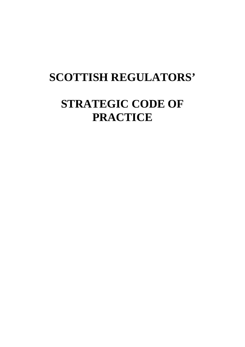# **SCOTTISH REGULATORS'**

# **STRATEGIC CODE OF PRACTICE**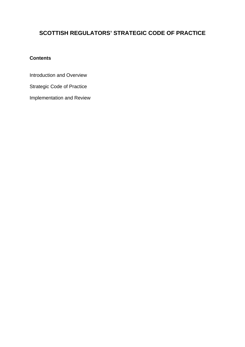## **SCOTTISH REGULATORS' STRATEGIC CODE OF PRACTICE**

## **Contents**

Introduction and Overview

Strategic Code of Practice

Implementation and Review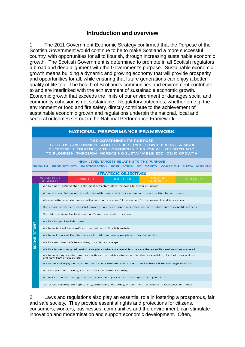## **Introduction and overview**

1. The 2011 Government Economic Strategy confirmed that the Purpose of the Scottish Government would continue to be to make Scotland a more successful country, with opportunities for all to flourish, through increasing sustainable economic growth. The Scottish Government is determined to promote in all Scottish regulators a broad and deep alignment with the Government's purpose. Sustainable economic growth means building a dynamic and growing economy that will provide prosperity and opportunities for all, while ensuring that future generations can enjoy a better quality of life too. The health of Scotland's communities and environment contribute to and are interlinked with the achievement of sustainable economic growth. Economic growth that exceeds the limits of our environment or damages social and community cohesion is not sustainable. Regulatory outcomes, whether on e.g. the environment or food and fire safety, directly contribute to the achievement of sustainable economic growth and regulations underpin the national, local and sectoral outcomes set out in the National Performance Framework.

|                                                                                                                                                                                                                            | <b>NATIONAL PERFORMANCE FRAMEWORK</b>                                                                                                     |
|----------------------------------------------------------------------------------------------------------------------------------------------------------------------------------------------------------------------------|-------------------------------------------------------------------------------------------------------------------------------------------|
| <b>THE GOVERNMENT'S PURPOSE</b><br>TO FOCUS GOVERNMENT AND PUBLIC SERVICES ON CREATING A MORE<br>SUCCESSFUL COUNTRY, WITH OPPORTUNITIES FOR ALL OF SCOTLAND<br>TO FLOURISH, THROUGH INCREASING SUSTAINABLE ECONOMIC GROWTH |                                                                                                                                           |
| <b>HIGH LEVEL TARGETS RELATING TO THE PURPOSE</b><br>GROWTH PRODUCTIVITY PARTICIPATION POPULATION SOLIDARITY COHESION SUSTAINABILITY                                                                                       |                                                                                                                                           |
| <b>STRATEGIC OBJECTIVES</b>                                                                                                                                                                                                |                                                                                                                                           |
|                                                                                                                                                                                                                            | WEALTHIER<br><b>SAFER &amp;</b><br><b>GREENER</b><br><b>SMARTER</b><br><b>HEALTHIER</b><br>& FAIRER<br><b>STRONGER</b>                    |
|                                                                                                                                                                                                                            | We live in a Scotland that is the most attractive place for doing business in Europe                                                      |
|                                                                                                                                                                                                                            | We realise our full economic potential with more and better employment opportunities for our people                                       |
|                                                                                                                                                                                                                            | We are better educated, more skilled and more successful, renowned for our research and innovation                                        |
|                                                                                                                                                                                                                            | Our young people are successful learners, confident individuals, effective contributors and responsible citizens                          |
|                                                                                                                                                                                                                            | Our children have the best start in life and are ready to succeed                                                                         |
|                                                                                                                                                                                                                            | We live longer, healthier lives                                                                                                           |
| NATIONAL OUTCOMES                                                                                                                                                                                                          | We have tackled the significant inequalities in Scottish society                                                                          |
|                                                                                                                                                                                                                            | We have improved the life chances for children, young people and families at risk                                                         |
|                                                                                                                                                                                                                            | We live our lives safe from crime, disorder and danger                                                                                    |
|                                                                                                                                                                                                                            | We live in well-designed, sustainable places where we are able to access the amenities and services we need                               |
|                                                                                                                                                                                                                            | We have strong, resilient and supportive communities where people take responsibility for their own actions<br>and how they affect others |
|                                                                                                                                                                                                                            | We value and enjoy our built and natural environment and protect it and enhance it for future generations                                 |
|                                                                                                                                                                                                                            | We take pride in a strong, fair and inclusive national identity                                                                           |
|                                                                                                                                                                                                                            | We reduce the local and global environmental impact of our consumption and production                                                     |
|                                                                                                                                                                                                                            | Our public services are high quality, continually improving, efficient and responsive to local people's needs                             |

 and safe society. They provide essential rights and protections for citizens, 2. Laws and regulations also play an essential role in fostering a prosperous, fair consumers, workers, businesses, communities and the environment, can stimulate innovation and modernisation and support economic development. Often,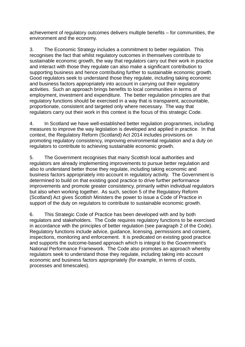achievement of regulatory outcomes delivers multiple benefits – for communities, the environment and the economy.

3. The Economic Strategy includes a commitment to better regulation. This recognises the fact that whilst regulatory outcomes in themselves contribute to sustainable economic growth, the way that regulators carry out their work in practice and interact with those they regulate can also make a significant contribution to supporting business and hence contributing further to sustainable economic growth. Good regulators seek to understand those they regulate, including taking economic and business factors appropriately into account in carrying out their regulatory activities. Such an approach brings benefits to local communities in terms of employment, investment and expenditure. The better regulation principles are that regulatory functions should be exercised in a way that is transparent, accountable, proportionate, consistent and targeted only where necessary. The way that regulators carry out their work in this context is the focus of this strategic Code.

4. In Scotland we have well-established better regulation programmes, including measures to improve the way legislation is developed and applied in practice. In that context, the Regulatory Reform (Scotland) Act 2014 includes provisions on promoting regulatory consistency, improving environmental regulation and a duty on regulators to contribute to achieving sustainable economic growth.

5. The Government recognises that many Scottish local authorities and regulators are already implementing improvements to pursue better regulation and also to understand better those they regulate, including taking economic and business factors appropriately into account in regulatory activity. The Government is determined to build on that existing good practice to drive further performance improvements and promote greater consistency, primarily within individual regulators but also when working together. As such, section 5 of the Regulatory Reform (Scotland) Act gives Scottish Ministers the power to issue a Code of Practice in support of the duty on regulators to contribute to sustainable economic growth.

6. This Strategic Code of Practice has been developed with and by both regulators and stakeholders. The Code requires regulatory functions to be exercised in accordance with the principles of better regulation (see paragraph 2 of the Code). Regulatory functions include advice, guidance, licensing, permissions and consent, inspections, monitoring and enforcement. It is predicated on existing good practice and supports the outcome-based approach which is integral to the Government's National Performance Framework. The Code also promotes an approach whereby regulators seek to understand those they regulate, including taking into account economic and business factors appropriately (for example, in terms of costs, processes and timescales).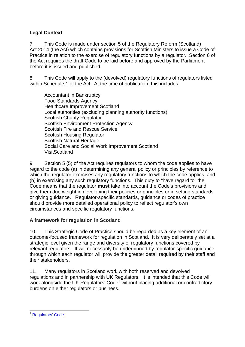## **Legal Context**

7. This Code is made under section 5 of the Regulatory Reform (Scotland) Act 2014 (the Act) which contains provisions for Scottish Ministers to issue a Code of Practice in relation to the exercise of regulatory functions by a regulator. Section 6 of the Act requires the draft Code to be laid before and approved by the Parliament before it is issued and published.

8. This Code will apply to the (devolved) regulatory functions of regulators listed within Schedule 1 of the Act. At the time of publication, this includes:

Accountant in Bankruptcy Food Standards Agency Healthcare Improvement Scotland Local authorities (excluding planning authority functions) Scottish Charity Regulator Scottish Environment Protection Agency Scottish Fire and Rescue Service Scottish Housing Regulator Scottish Natural Heritage Social Care and Social Work Improvement Scotland VisitScotland

9. Section 5 (5) of the Act requires regulators to whom the code applies to have regard to the code (a) in determining any general policy or principles by reference to which the regulator exercises any regulatory functions to which the code applies, and (b) in exercising any such regulatory functions. This duty to "have regard to" the Code means that the regulator **must** take into account the Code's provisions and give them due weight in developing their policies or principles or in setting standards or giving guidance. Regulator-specific standards, guidance or codes of practice should provide more detailed operational policy to reflect regulator's own circumstances and specific regulatory functions.

## **A framework for regulation in Scotland**

10. This Strategic Code of Practice should be regarded as a key element of an outcome-focused framework for regulation in Scotland. It is very deliberately set at a strategic level given the range and diversity of regulatory functions covered by relevant regulators. It will necessarily be underpinned by regulator-specific guidance through which each regulator will provide the greater detail required by their staff and their stakeholders.

11. Many regulators in Scotland work with both reserved and devolved regulations and in partnership with UK Regulators. It is intended that this Code will work alongside the UK Regulators' Code<sup>1</sup> without placing additional or contradictory burdens on either regulators or business.

<sup>1</sup> Regulators' Code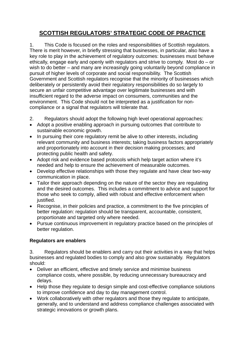# **SCOTTISH REGULATORS' STRATEGIC CODE OF PRACTICE**

 pursuit of higher levels of corporate and social responsibility. The Scottish 1. This Code is focused on the roles and responsibilities of Scottish regulators. There is merit however, in briefly stressing that businesses, in particular, also have a key role to play in the achievement of regulatory outcomes: businesses must behave ethically, engage early and openly with regulators and strive to comply. Most do – or wish to do better – and many are increasingly going voluntarily beyond compliance in Government and Scottish regulators recognise that the minority of businesses which deliberately or persistently avoid their regulatory responsibilities do so largely to secure an unfair competitive advantage over legitimate businesses and with insufficient regard to the adverse impact on consumers, communities and the environment. This Code should not be interpreted as a justification for noncompliance or a signal that regulators will tolerate that.

- 2. Regulators should adopt the following high level operational approaches:
- Adopt a positive enabling approach in pursuing outcomes that contribute to sustainable economic growth.
- In pursuing their core regulatory remit be alive to other interests, including relevant community and business interests; taking business factors appropriately and proportionately into account in their decision making processes; and protecting public health and safety.
- Adopt risk and evidence based protocols which help target action where it's needed and help to ensure the achievement of measurable outcomes.
- Develop effective relationships with those they regulate and have clear two-way communication in place.
- Tailor their approach depending on the nature of the sector they are regulating and the desired outcomes. This includes a commitment to advice and support for those who seek to comply, allied with robust and effective enforcement when justified.
- Recognise, in their policies and practice, a commitment to the five principles of better regulation: regulation should be transparent, accountable, consistent, proportionate and targeted only where needed.
- Pursue continuous improvement in regulatory practice based on the principles of better regulation.

## **Regulators are enablers**

3. Regulators should be enablers and carry out their activities in a way that helps businesses and regulated bodies to comply and also grow sustainably. Regulators should:

- Deliver an efficient, effective and timely service and minimise business compliance costs, where possible, by reducing unnecessary bureaucracy and delays.
- Help those they regulate to design simple and cost-effective compliance solutions to improve confidence and day to day management control.
- Work collaboratively with other regulators and those they regulate to anticipate, generally, and to understand and address compliance challenges associated with strategic innovations or growth plans.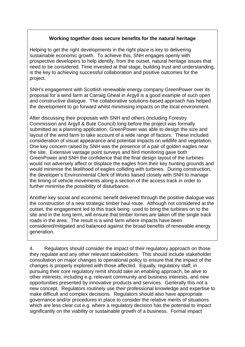## **Working together does secure benefits for the natural heritage**

Helping to get the right developments in the right place is key to delivering sustainable economic growth. To achieve this, SNH engages openly with prospective developers to help identify, from the outset, natural heritage issues that need to be considered. Time invested at that stage, building trust and understanding, is the key to achieving successful collaboration and positive outcomes for the project.

SNH's engagement with Scottish renewable energy company GreenPower over its proposal for a wind farm at Carraig Gheal in Argyll is a good example of such open and constructive dialogue. The collaborative solutions-based approach has helped the development to go forward whilst minimising impacts on the local environment.

After discussing their proposals with SNH and others (including Forestry Commission and Argyll & Bute Council) long before the project was formally submitted as a planning application. GreenPower was able to design the size and layout of the wind farm to take account of a wide range of factors. These included consideration of visual appearance and potential impacts on wildlife and vegetation. One key concern raised by SNH was the presence of a pair of golden eagles near the site. Extensive vantage point surveys and bird monitoring gave both GreenPower and SNH the confidence that the final design layout of the turbines would not adversely affect or displace the eagles from their key hunting grounds and would minimise the likelihood of eagles colliding with turbines. During construction, the developer's Environmental Clerk of Works liaised closely with SNH to manage the timing of vehicle movements along a section of the access track in order to further minimise the possibility of disturbance.

Another key social and economic benefit delivered through the positive dialogue was the construction of a new strategic timber haul route. Although not considered at the outset, the engagement led to this track being used to bring the turbines on to the site and in the long term, will ensure that timber lorries are taken off the single track roads in the area. The result is a wind farm where impacts have been considered/mitigated and balanced against the broad benefits of renewable energy generation.

4. Regulators should consider the impact of their regulatory approach on those they regulate and any other relevant stakeholders. This should include stakeholder consultation on major changes to operational policy to ensure that the impact of the changes is properly explored with those affected. Equally, regulatory staff, in pursuing their core regulatory remit should take an enabling approach, be alive to other interests, including e.g. relevant community and business interests, and new opportunities presented by innovative products and services. Generally this not a new concept. Regulators routinely use their professional knowledge and expertise to make difficult and complex decisions. Regulators should also have appropriate governance and/or procedures in place to consider the relative merits of situations which are less clear cut e.g. where a regulatory decision has the potential to impact significantly on the viability or sustainable growth of a business. Formal impact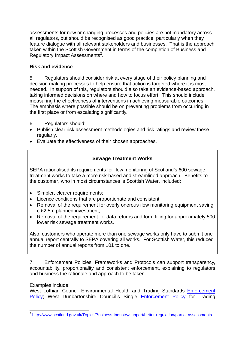assessments for new or changing processes and policies are not mandatory across all regulators, but should be recognised as good practice, particularly when they feature dialogue with all relevant stakeholders and businesses. That is the approach taken within the Scottish Government in terms of the completion of Business and Regulatory Impact Assessments<sup>2</sup>.

## **Risk and evidence**

5. Regulators should consider risk at every stage of their policy planning and decision making processes to help ensure that action is targeted where it is most needed. In support of this, regulators should also take an evidence-based approach, taking informed decisions on where and how to focus effort. This should include measuring the effectiveness of interventions in achieving measurable outcomes. The emphasis where possible should be on preventing problems from occurring in the first place or from escalating significantly.

- 6. Regulators should:
- Publish clear risk assessment methodologies and risk ratings and review these regularly.
- Evaluate the effectiveness of their chosen approaches.

## **Sewage Treatment Works**

SEPA rationalised its requirements for flow monitoring of Scotland's 600 sewage treatment works to take a more risk-based and streamlined approach. Benefits to the customer, who in most circumstances is Scottish Water, included:

- Simpler, clearer requirements;
- Licence conditions that are proportionate and consistent;
- Removal of the requirement for overly onerous flow monitoring equipment saving c.£2.5m planned investment;
- Removal of the requirement for data returns and form filling for approximately 500 lower risk sewage treatment works.

Also, customers who operate more than one sewage works only have to submit one annual report centrally to SEPA covering all works. For Scottish Water, this reduced the number of annual reports from 101 to one.

7. Enforcement Policies, Frameworks and Protocols can support transparency, accountability, proportionality and consistent enforcement, explaining to regulators and business the rationale and approach to be taken.

## Examples include:

West Lothian Council Environmental Health and Trading Standards Enforcement Policy; West Dunbartonshire Council's Single Enforcement Policy for Trading

<sup>1</sup> <sup>2</sup> <http://www.scotland.gov.uk/Topics/Business-Industry/support/better-regulation/partial-assessments>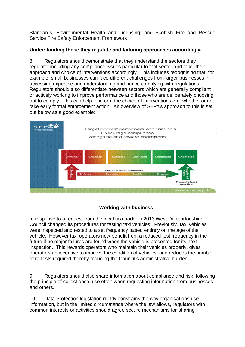Standards, Environmental Health and Licensing; and Scottish Fire and Rescue Service Fire Safety Enforcement Framework

## **Understanding those they regulate and tailoring approaches accordingly.**

 not to comply. This can help to inform the choice of interventions e.g. whether or not take early formal enforcement action. An overview of SEPA's approach to this is set 8. Regulators should demonstrate that they understand the sectors they regulate, including any compliance issues particular to that sector and tailor their approach and choice of interventions accordingly. This includes recognising that, for example, small businesses can face different challenges from larger businesses in accessing expertise and understanding and hence complying with regulations. Regulators should also differentiate between sectors which are generally compliant or actively working to improve performance and those who are deliberately choosing out below as a good example:



## **Working with business**

In response to a request from the local taxi trade, in 2013 West Dunbartonshire Council changed its procedures for testing taxi vehicles. Previously, taxi vehicles were inspected and tested to a set frequency based entirely on the age of the vehicle. However taxi operators now benefit from a reduced test frequency in the future if no major failures are found when the vehicle is presented for its next inspection. This rewards operators who maintain their vehicles properly, gives operators an incentive to improve the condition of vehicles, and reduces the number of re-tests required thereby reducing the Council's administrative burden.

9. Regulators should also share information about compliance and risk, following the principle of collect once, use often when requesting information from businesses and others.

10. Data Protection legislation rightly constrains the way organisations use information, but in the limited circumstance where the law allows, regulators with common interests or activities should agree secure mechanisms for sharing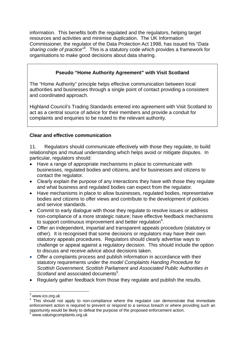information. This benefits both the regulated and the regulators, helping target resources and activities and minimise duplication. The UK Information Commissioner, the regulator of the Data Protection Act 1998, has issued his "*Data sharing code of practice"*<sup>3</sup> *.* This is a statutory code which provides a framework for organisations to make good decisions about data sharing.

## **Pseudo "Home Authority Agreement" with Visit Scotland**

The "Home Authority" principle helps effective communication between local authorities and businesses through a single point of contact providing a consistent and coordinated approach.

Highland Council's Trading Standards entered into agreement with Visit Scotland to act as a central source of advice for their members and provide a conduit for complaints and enquiries to be routed to the relevant authority.

## **Clear and effective communication**

11. Regulators should communicate effectively with those they regulate, to build relationships and mutual understanding which helps avoid or mitigate disputes. In particular, regulators should:

- Have a range of appropriate mechanisms in place to communicate with businesses, regulated bodies and citizens, and for businesses and citizens to contact the regulator.
- Clearly explain the purpose of any interactions they have with those they regulate and what business and regulated bodies can expect from the regulator.
- Have mechanisms in place to allow businesses, regulated bodies, representative bodies and citizens to offer views and contribute to the development of policies and service standards.
- Commit to early dialogue with those they regulate to resolve issues or address non-compliance of a more strategic nature; have effective feedback mechanisms to support continuous improvement and better regulation<sup>4</sup>.
- Offer an independent, impartial and transparent appeals procedure (statutory or other). It is recognised that some decisions or regulators may have their own statutory appeals procedures. Regulators should clearly advertise ways to challenge or appeal against a regulatory decision. This should include the option to discuss and receive advice about decisions taken.
- Offer a complaints process and publish information in accordance with their statutory requirements under the *model Complaints Handing Procedure for Scottish Government, Scottish Parliament and Associated Public Authorities in*  Scotland and associated documents<sup>5</sup>.
- Regularly gather feedback from those they regulate and publish the results.

<sup>&</sup>lt;u>.</u>  $3$ <www.ico.org.uk>

 enforcement action is required to prevent or respond to a serious breach or where providing such an  $4$  This should not apply to non-compliance where the regulator can demonstrate that immediate opportunity would be likely to defeat the purpose of the proposed enforcement action. 5 <www.valuingcomplaints.org.uk>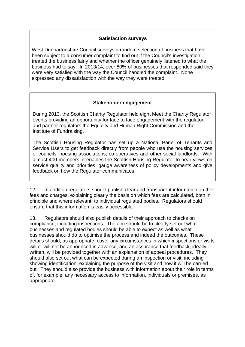#### **Satisfaction surveys**

West Dunbartonshire Council surveys a random selection of business that have been subject to a consumer complaint to find out if the Council's investigation treated the business fairly and whether the officer genuinely listened to what the business had to say. In 2013/14, over 80% of businesses that responded said they were very satisfied with the way the Council handled the complaint. None expressed any dissatisfaction with the way they were treated.

#### **Stakeholder engagement**

During 2013, the Scottish Charity Regulator held eight Meet the Charity Regulator events providing an opportunity for face to face engagement with the regulator, and partner regulators the Equality and Human Right Commission and the Institute of Fundraising.

The Scottish Housing Regulator has set up a National Panel of Tenants and Service Users to get feedback directly from people who use the housing services of councils, housing associations, co-operatives and other social landlords. With almost 400 members, it enables the Scottish Housing Regulator to hear views on service quality and priorities, gauge awareness of policy developments and give feedback on how the Regulator communicates.

12. In addition regulators should publish clear and transparent information on their fees and charges, explaining clearly the basis on which fees are calculated, both in principle and where relevant, to individual regulated bodies. Regulators should ensure that this information is easily accessible.

 compliance, including inspections. The aim should be to clearly set out what 13. Regulators should also publish details of their approach to checks on businesses and regulated bodies should be able to expect as well as what businesses should do to optimise the process and indeed the outcomes. These details should, as appropriate, cover any circumstances in which inspections or visits will or will not be announced in advance, and an assurance that feedback, ideally written, will be provided together with an explanation of appeal procedures. They should also set out what can be expected during an inspection or visit, including showing identification, explaining the purpose of the visit and how it will be carried out. They should also provide the business with information about their role in terms of, for example, any necessary access to information, individuals or premises, as appropriate.